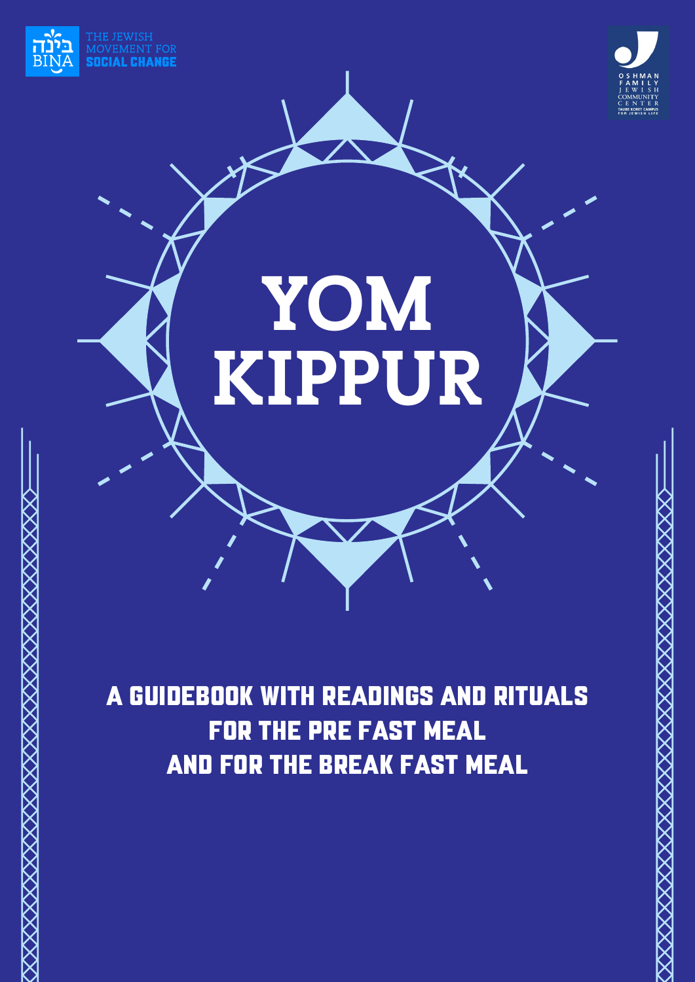

XXXXXXXXXXXXXXXXXXXXXXXXXXXXXXX



# **YOM KIPPUR**

A Guidebook with Readings and Rituals for the Pre Fast Meal and for the Break Fast Meal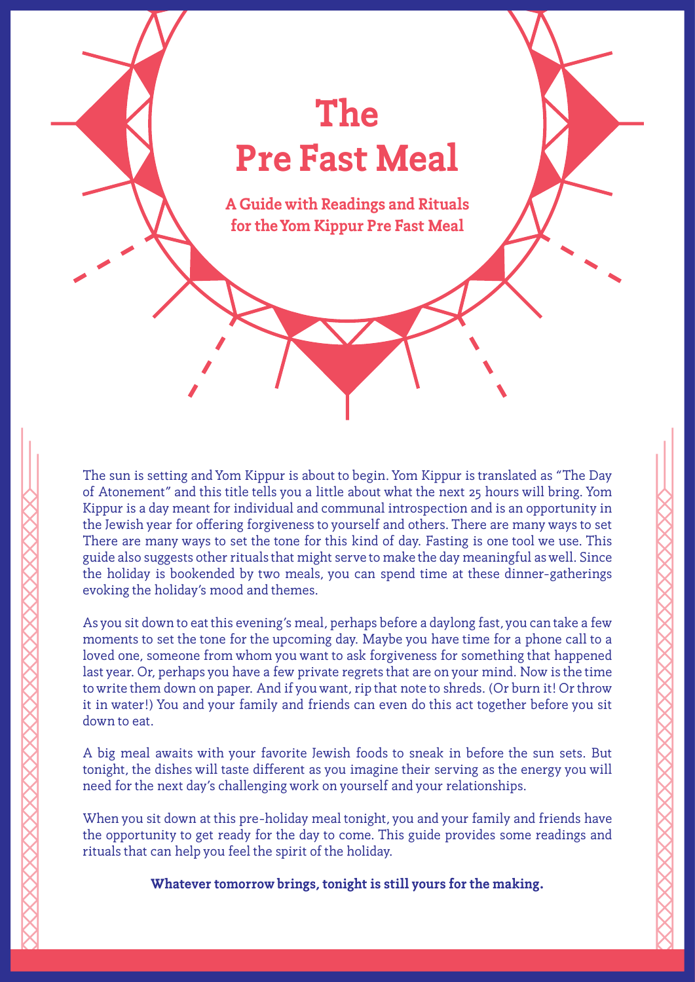### **The Pre Fast Meal**

**A Guide with Readings and Rituals for the Yom Kippur Pre Fast Meal**

The sun is setting and Yom Kippur is about to begin. Yom Kippur is translated as "The Day of Atonement" and this title tells you a little about what the next 25 hours will bring. Yom Kippur is a day meant for individual and communal introspection and is an opportunity in the Jewish year for offering forgiveness to yourself and others. There are many ways to set There are many ways to set the tone for this kind of day. Fasting is one tool we use. This guide also suggests other rituals that might serve to make the day meaningful as well. Since the holiday is bookended by two meals, you can spend time at these dinner-gatherings evoking the holiday's mood and themes.

As you sit down to eat this evening's meal, perhaps before a daylong fast, you can take a few moments to set the tone for the upcoming day. Maybe you have time for a phone call to a loved one, someone from whom you want to ask forgiveness for something that happened last year. Or, perhaps you have a few private regrets that are on your mind. Now is the time to write them down on paper. And if you want, rip that note to shreds. (Or burn it! Or throw it in water!) You and your family and friends can even do this act together before you sit down to eat.

A big meal awaits with your favorite Jewish foods to sneak in before the sun sets. But tonight, the dishes will taste different as you imagine their serving as the energy you will need for the next day's challenging work on yourself and your relationships.

When you sit down at this pre-holiday meal tonight, you and your family and friends have the opportunity to get ready for the day to come. This guide provides some readings and rituals that can help you feel the spirit of the holiday.

**Whatever tomorrow brings, tonight is still yours for the making.**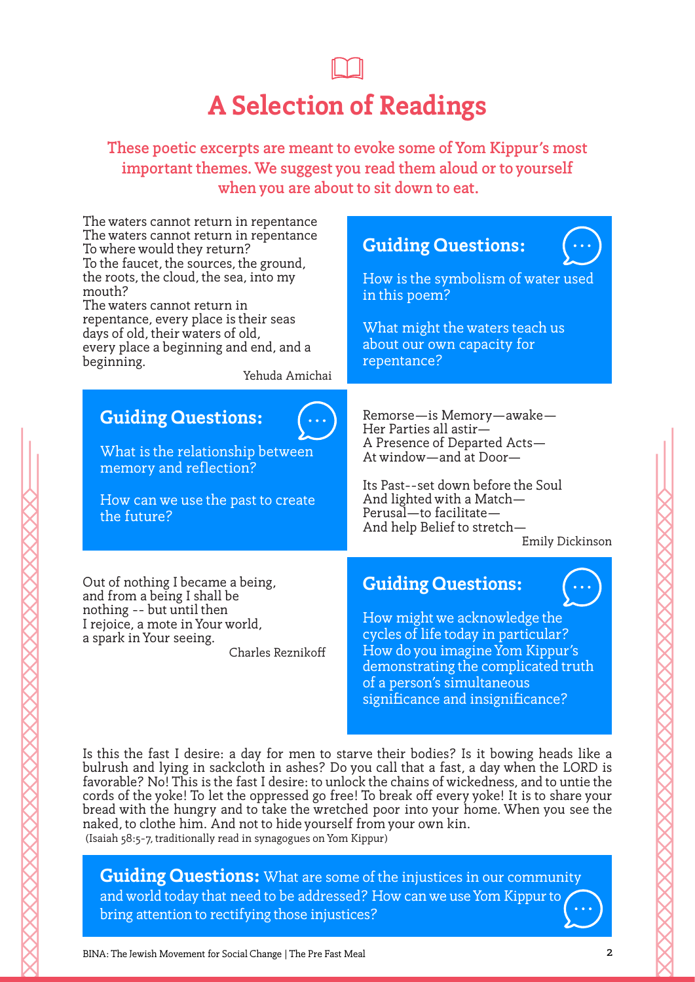# **A Selection of Readings**

**These poetic excerpts are meant to evoke some of Yom Kippur's most important themes. We suggest you read them aloud or to yourself when you are about to sit down to eat.**

The waters cannot return in repentance The waters cannot return in repentance To where would they return? To the faucet, the sources, the ground, the roots, the cloud, the sea, into my mouth? The waters cannot return in repentance, every place is their seas days of old, their waters of old, every place a beginning and end, and a beginning. Yehuda Amichai Remorse—is Memory—awake— Her Parties all astir— A Presence of Departed Acts— At window—and at Door— Its Past--set down before the Soul And lighted with a Match— Perusal—to facilitate— And help Belief to stretch— Emily Dickinson **Guiding Questions:** How is the symbolism of water used in this poem? What might the waters teach us about our own capacity for repentance? **Guiding Questions:** What is the relationship between memory and reflection? How can we use the past to create the future? Out of nothing I became a being, and from a being I shall be nothing -- but until then I rejoice, a mote in Your world, a spark in Your seeing. **Guiding Questions:** How might we acknowledge the

Charles Rezniko

cycles of life today in particular? How do you imagine Yom Kippur's demonstrating the complicated truth of a person's simultaneous significance and insignificance?

Is this the fast I desire: a day for men to starve their bodies? Is it bowing heads like a bulrush and lying in sackcloth in ashes? Do you call that a fast, a day when the LORD is favorable? No! This is the fast I desire: to unlock the chains of wickedness, and to untie the cords of the yoke! To let the oppressed go free! To break off every yoke! It is to share your bread with the hungry and to take the wretched poor into your home. When you see the naked, to clothe him. And not to hide yourself from your own kin. (Isaiah 58:5-7, traditionally read in synagogues on Yom Kippur)

**Guiding Questions:** What are some of the injustices in our community and world today that need to be addressed? How can we use Yom Kippur to bring attention to rectifying those injustices?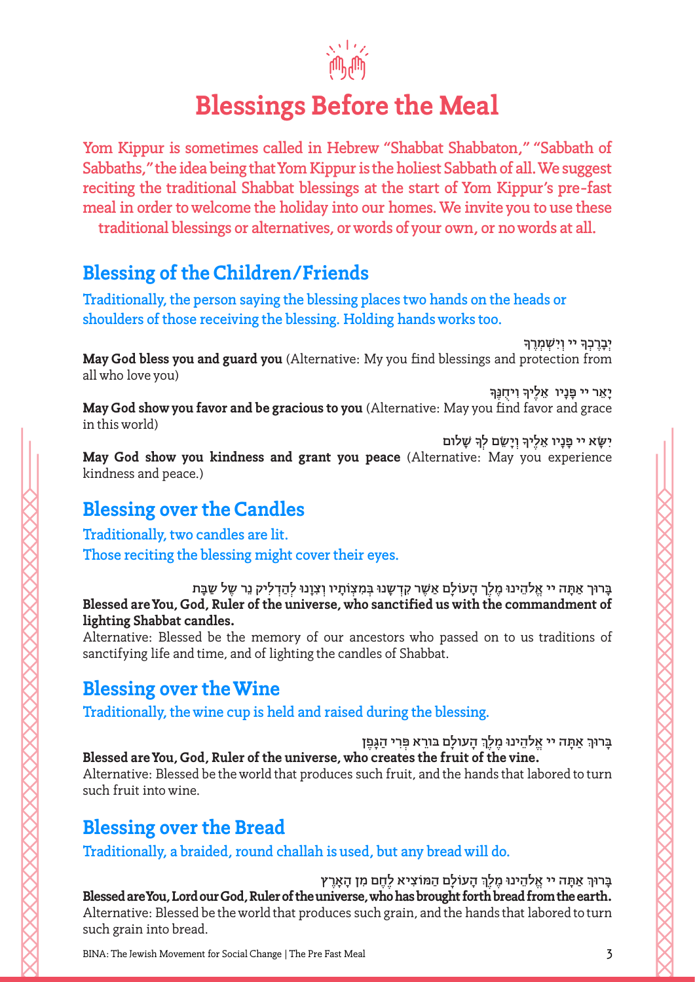

### **Blessings Before the Meal**

**Yom Kippur is sometimes called in Hebrew "Shabbat Shabbaton," "Sabbath of Sabbaths," the idea being that Yom Kippur is the holiest Sabbath of all. We suggest reciting the traditional Shabbat blessings at the start of Yom Kippur's pre-fast meal in order to welcome the holiday into our homes. We invite you to use these traditional blessings or alternatives, or words of your own, or no words at all.**

### **Blessing of the Children/Friends**

**Traditionally, the person saying the blessing places two hands on the heads or shoulders of those receiving the blessing. Holding hands works too.**

**יְבָרֶכְךָ יִי וְיִשְׁמְרֶךְ May God bless you and guard you** (Alternative: My you find blessings and protection from all who love you)

**ָ וִ ֻ יחנֶּך ָנָ ֵ יו אלֶיך יָ ֵא ּ ר יי פ May God show you favor and be gracious to you** (Alternative: May you find favor and grace in this world)

 **ָׁ שלום ָ וְיָ ֵשׂם לְך ָנָ ֵ יו אלֶיך יִ ָּשׂ ּ א יי פ May God show you kindness and grant you peace** (Alternative: May you experience kindness and peace.)

### **Blessing over the Candles**

**Traditionally, two candles are lit. Those reciting the blessing might cover their eyes.** 

בָּרוּך אַתָּה יי אֱלֹהֵינוּ מֶלֶךְ הָעוֹלָם אַשֶׁר קִדְשָנוּ בְּמִצְוֹתָיו וְצִוָנוּ לְהַדְלִיק נֵר שֶל שַבָּת **Blessed are You, God, Ruler of the universe, who sanctified us with the commandment of lighting Shabbat candles.**

Alternative: Blessed be the memory of our ancestors who passed on to us traditions of sanctifying life and time, and of lighting the candles of Shabbat.

### **Blessing over the Wine**

**Traditionally, the wine cup is held and raised during the blessing.** 

בָּרוּךְ אַתָּה יי אֱלהֵינוּ מֶלֶךְ הָעולָם בּורֵא פְּרִי הַגָּפֶן **Blessed are You, God, Ruler of the universe, who creates the fruit of the vine.** Alternative: Blessed be the world that produces such fruit, and the hands that labored to turn such fruit into wine.

### **Blessing over the Bread**

**Traditionally, a braided, round challah is used, but any bread will do.** 

 **ָ העוֹלָ ַ ם ה ּמוֹצִיא לֶ ֶח ִ ם מ ָ ן ה ָאֶרץ ּת ֱ ה יי א ֵלהינוּ ֶ מלֶך ַ א ָ ָּרוּך ב Blessed are You, Lord our God, Ruler of the universe, who has brought forth bread from the earth.**  Alternative: Blessed be the world that produces such grain, and the hands that labored to turn such grain into bread.

BINA: The Jewish Movement for Social Change | The Pre Fast Meal 3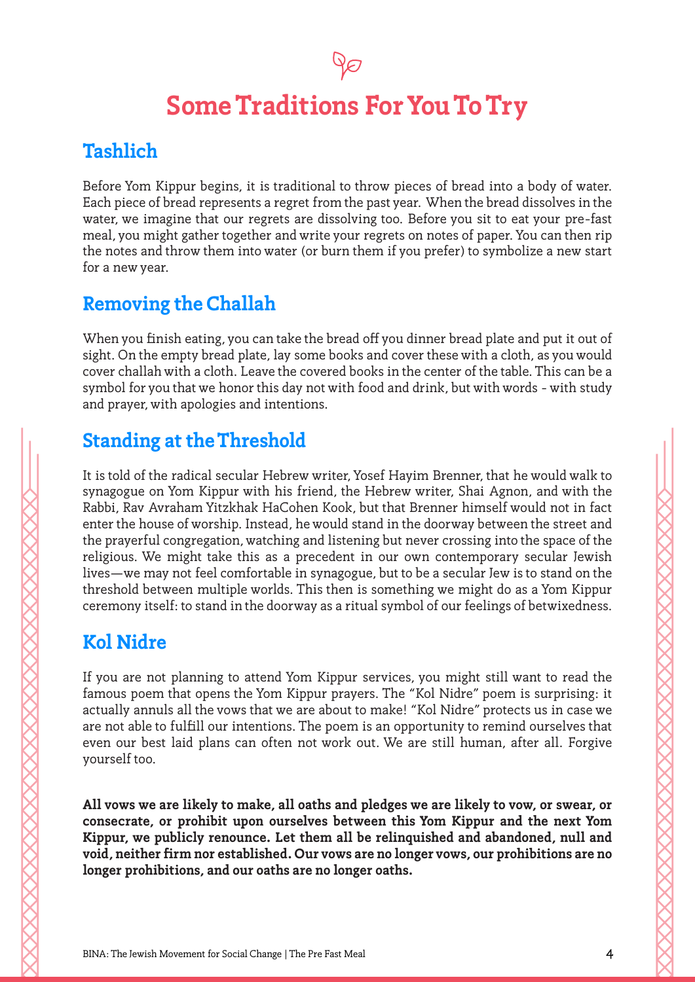### **Some Traditions For You To Try**

### **Tashlich**

Before Yom Kippur begins, it is traditional to throw pieces of bread into a body of water. Each piece of bread represents a regret from the past year. When the bread dissolves in the water, we imagine that our regrets are dissolving too. Before you sit to eat your pre-fast meal, you might gather together and write your regrets on notes of paper. You can then rip the notes and throw them into water (or burn them if you prefer) to symbolize a new start for a new year.

### **Removing the Challah**

When you finish eating, you can take the bread off you dinner bread plate and put it out of sight. On the empty bread plate, lay some books and cover these with a cloth, as you would cover challah with a cloth. Leave the covered books in the center of the table. This can be a symbol for you that we honor this day not with food and drink, but with words - with study and prayer, with apologies and intentions.

### **Standing at the Threshold**

It is told of the radical secular Hebrew writer, Yosef Hayim Brenner, that he would walk to synagogue on Yom Kippur with his friend, the Hebrew writer, Shai Agnon, and with the Rabbi, Rav Avraham Yitzkhak HaCohen Kook, but that Brenner himself would not in fact enter the house of worship. Instead, he would stand in the doorway between the street and the prayerful congregation, watching and listening but never crossing into the space of the religious. We might take this as a precedent in our own contemporary secular Jewish lives—we may not feel comfortable in synagogue, but to be a secular Jew is to stand on the threshold between multiple worlds. This then is something we might do as a Yom Kippur ceremony itself: to stand in the doorway as a ritual symbol of our feelings of betwixedness.

### **Kol Nidre**

If you are not planning to attend Yom Kippur services, you might still want to read the famous poem that opens the Yom Kippur prayers. The "Kol Nidre" poem is surprising: it actually annuls all the vows that we are about to make! "Kol Nidre" protects us in case we are not able to fulfill our intentions. The poem is an opportunity to remind ourselves that even our best laid plans can often not work out. We are still human, after all. Forgive yourself too.

**All vows we are likely to make, all oaths and pledges we are likely to vow, or swear, or consecrate, or prohibit upon ourselves between this Yom Kippur and the next Yom Kippur, we publicly renounce. Let them all be relinquished and abandoned, null and void, neither firm nor established. Our vows are no longer vows, our prohibitions are no longer prohibitions, and our oaths are no longer oaths.**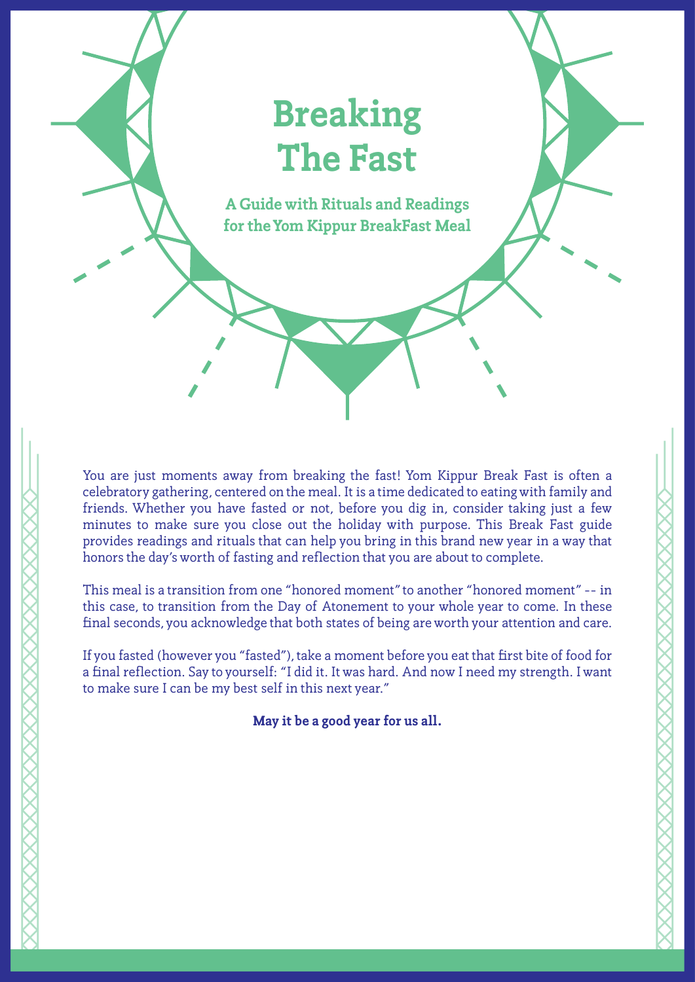### **Breaking The Fast**

**A Guide with Rituals and Readings for the Yom Kippur BreakFast Meal**

You are just moments away from breaking the fast! Yom Kippur Break Fast is often a celebratory gathering, centered on the meal. It is a time dedicated to eating with family and friends. Whether you have fasted or not, before you dig in, consider taking just a few minutes to make sure you close out the holiday with purpose. This Break Fast guide provides readings and rituals that can help you bring in this brand new year in a way that honors the day's worth of fasting and reflection that you are about to complete.

This meal is a transition from one "honored moment" to another "honored moment" -- in this case, to transition from the Day of Atonement to your whole year to come. In these final seconds, you acknowledge that both states of being are worth your attention and care.

If you fasted (however you "fasted"), take a moment before you eat that first bite of food for a final reflection. Say to yourself: "I did it. It was hard. And now I need my strength. I want to make sure I can be my best self in this next year."

**May it be a good year for us all.**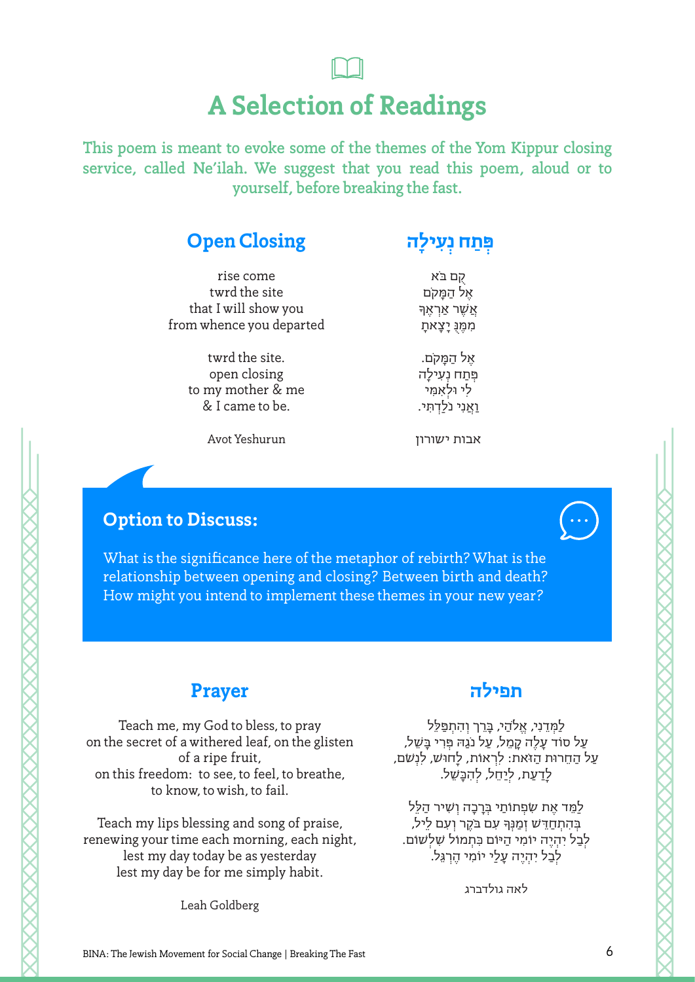## **A Selection of Readings**

**This poem is meant to evoke some of the themes of the Yom Kippur closing service, called Ne'ilah. We suggest that you read this poem, aloud or to yourself, before breaking the fast.** 

### **Open Closing**

**ְ ִעילָה ְּ ַתח נ פ**

rise come twrd the site that I will show you from whence you departed

> twrd the site. open closing to my mother & me & I came to be.

קֻם בּ ֹא ָ ּ אֶל הַמָק ֹם אַשֶׁר אַרְאֵך ּמִמֶנ ֻּ יָצָאתָ

ּ אֶל הַמָק ֹם. פְּתַח נְעִילָה לִי וּלְ ּאִמִי וַאֲנִי נֹלֹדְתִּי.

אבות ישורון

Avot Yeshurun

### **Option to Discuss:**

What is the significance here of the metaphor of rebirth? What is the relationship between opening and closing? Between birth and death? How might you intend to implement these themes in your new year?

### **Prayer**

Teach me, my God to bless, to pray on the secret of a withered leaf, on the glisten of a ripe fruit, on this freedom: to see, to feel, to breathe, to know, to wish, to fail.

Teach my lips blessing and song of praise, renewing your time each morning, each night, lest my day today be as yesterday lest my day be for me simply habit.

Leah Goldberg

### **תפילה**

לַמְדֵנִי, אֱלֹהֵי, בַּרֵך וְהָתִפַּלֵּל ַעַל סוֹד עָלֶה קָמֵל, עַל נֹגַהּ פְּרִי בָּשֵׁל, עַל הַחֵרוּת הַז ֹּאת: לִרְ אוֹת, לָחוּ ׁש, לִ ֹׁנ ְשם, לָדַעַת, לְיַחֵל, לְהִכָּ ׁשֵל.

לַמֵּד אֶת שִׂפְתוֹתַי בְּרַכָה וְשִׁיר הַלֵּל .<br>בְּהִתְחַדֵּשׁ זְמַנְּךָ עִם בֹקֶר וְעִם לֵיל, לְבַל יִהְיֶה יוֹמִי הַיּוֹם כִּתְמוֹ ׁ ל שִלְ ׁשוֹם. לְבַל יִהְיֶה עָלַי יוֹמִי הֶרְ גֵּל.

לאה גולדברג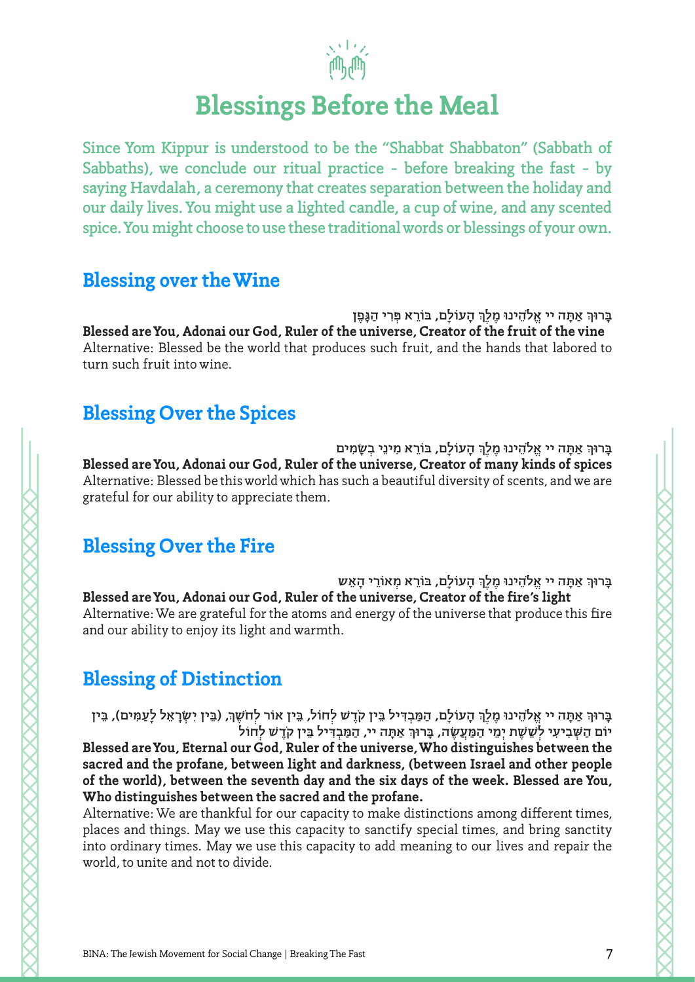

### **Blessings Before the Meal**

**Since Yom Kippur is understood to be the "Shabbat Shabbaton" (Sabbath of Sabbaths), we conclude our ritual practice - before breaking the fast - by saying Havdalah, a ceremony that creates separation between the holiday and our daily lives. You might use a lighted candle, a cup of wine, and any scented spice. You might choose to use these traditional words or blessings of your own.**

#### **Blessing over the Wine**

**ֶן ְ ִר ַ י הגָּפ ָ העוֹלָם, בּוֵֹר ּא פ ּת ֱ ה יי אל ֵֹהינוּ ֶ מלֶך ַ א ָ ָּרוּך ב Blessed are You, Adonai our God, Ruler of the universe, Creator of the fruit of the vine** Alternative: Blessed be the world that produces such fruit, and the hands that labored to turn such fruit into wine.

### **Blessing Over the Spices**

בָּרוּךְ אַתָּה יי אֱלֹהֵינוּ מֶלֶךְ הָעוֹלָם, בּוֹרֵא מִינֵי בְשָׂמִים **Blessed are You, Adonai our God, Ruler of the universe, Creator of many kinds of spices** Alternative: Blessed be this world which has such a beautiful diversity of scents, and we are grateful for our ability to appreciate them.

### **Blessing Over the Fire**

 **ָ העוֹלָם, בּוֵֹר ְ א מאוֵֹר ָ י ה ֵאש ּת ֱ ה יי אל ֵֹהינוּ ֶ מלֶך ַ א ָ ָּרוּך ב Blessed are You, Adonai our God, Ruler of the universe, Creator of the fire's light** Alternative: We are grateful for the atoms and energy of the universe that produce this fire and our ability to enjoy its light and warmth.

### **Blessing of Distinction**

בָּרוּךְ אַתָּה יי אֱלֹהֵינוּ מֶלֶךְ הָעוֹלָם, הַמַּבְדִּיל בֵּין קֹדֶשׁ לְחוֹל, בֵּין אוֹר לְחֹשֶׁךְ, (בֵּין יִשְׂרָאֵל לְעַמִּים), בֵּין יוֹם הַשְׁבִיעִי לְשֵׁשֶׁת יְמֵי הַמַּעֲשֶׂה, בָּרוּךְ אַתָּה יי, הַמַּבְדִּיל בֵּין קֹדֶשׁ לְחוֹל **Blessed are You, Eternal our God, Ruler of the universe, Who distinguishes between the sacred and the profane, between light and darkness, (between Israel and other people of the world), between the seventh day and the six days of the week. Blessed are You, Who distinguishes between the sacred and the profane.**

Alternative: We are thankful for our capacity to make distinctions among different times, places and things. May we use this capacity to sanctify special times, and bring sanctity into ordinary times. May we use this capacity to add meaning to our lives and repair the world, to unite and not to divide.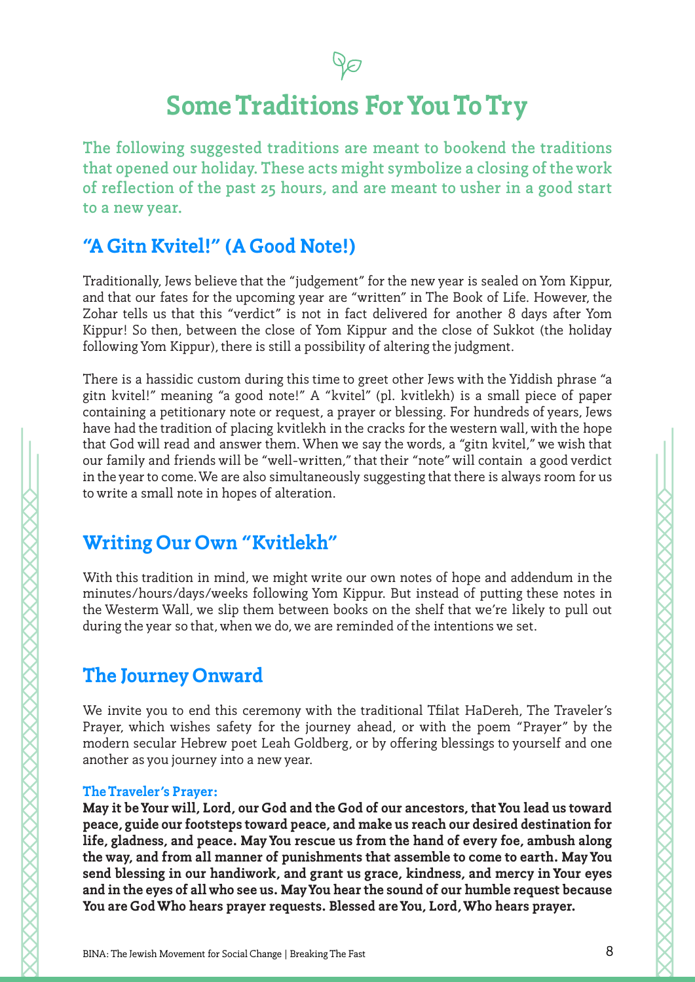

### **Some Traditions For You To Try**

**The following suggested traditions are meant to bookend the traditions that opened our holiday. These acts might symbolize a closing of the work of reflection of the past 25 hours, and are meant to usher in a good start to a new year.** 

### **"A Gitn Kvitel!" (A Good Note!)**

Traditionally, Jews believe that the "judgement" for the new year is sealed on Yom Kippur, and that our fates for the upcoming year are "written" in The Book of Life. However, the Zohar tells us that this "verdict" is not in fact delivered for another 8 days after Yom Kippur! So then, between the close of Yom Kippur and the close of Sukkot (the holiday following Yom Kippur), there is still a possibility of altering the judgment.

There is a hassidic custom during this time to greet other Jews with the Yiddish phrase "a gitn kvitel!" meaning "a good note!" A "kvitel" (pl. kvitlekh) is a small piece of paper containing a petitionary note or request, a prayer or blessing. For hundreds of years, Jews have had the tradition of placing kvitlekh in the cracks for the western wall, with the hope that God will read and answer them. When we say the words, a "gitn kvitel," we wish that our family and friends will be "well-written," that their "note" will contain a good verdict in the year to come. We are also simultaneously suggesting that there is always room for us to write a small note in hopes of alteration.

### **Writing Our Own "Kvitlekh"**

With this tradition in mind, we might write our own notes of hope and addendum in the minutes/hours/days/weeks following Yom Kippur. But instead of putting these notes in the Westerm Wall, we slip them between books on the shelf that we're likely to pull out during the year so that, when we do, we are reminded of the intentions we set.

### **The Journey Onward**

We invite you to end this ceremony with the traditional Tfilat HaDereh, The Traveler's Prayer, which wishes safety for the journey ahead, or with the poem "Prayer" by the modern secular Hebrew poet Leah Goldberg, or by offering blessings to yourself and one another as you journey into a new year.

#### **The Traveler's Prayer:**

**May it be Your will, Lord, our God and the God of our ancestors, that You lead us toward peace, guide our footsteps toward peace, and make us reach our desired destination for life, gladness, and peace. May You rescue us from the hand of every foe, ambush along the way, and from all manner of punishments that assemble to come to earth. May You send blessing in our handiwork, and grant us grace, kindness, and mercy in Your eyes and in the eyes of all who see us. May You hear the sound of our humble request because You are God Who hears prayer requests. Blessed are You, Lord, Who hears prayer.**